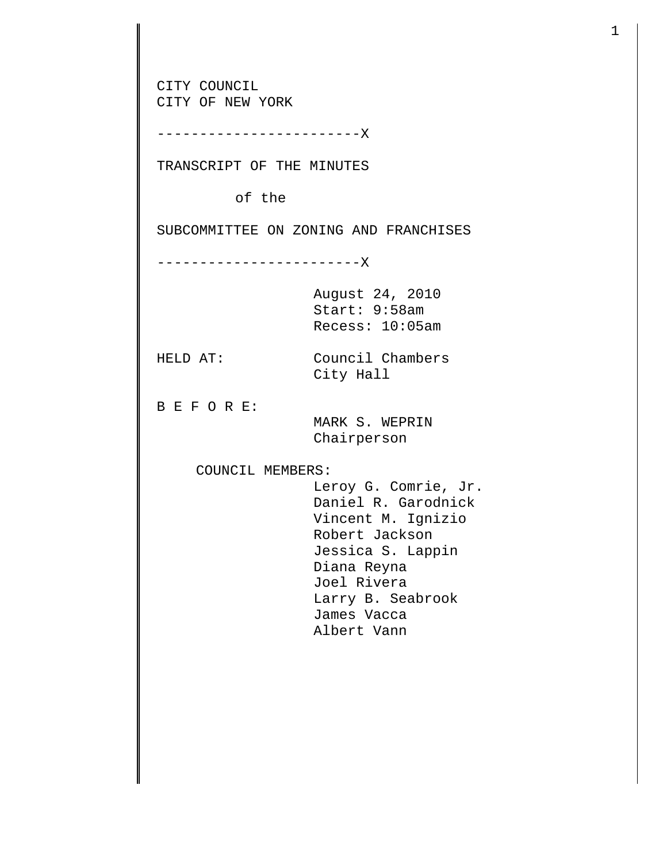CITY COUNCIL CITY OF NEW YORK ------------------------X TRANSCRIPT OF THE MINUTES of the SUBCOMMITTEE ON ZONING AND FRANCHISES ------------------------X August 24, 2010 Start: 9:58am Recess: 10:05am HELD AT: Council Chambers City Hall B E F O R E: MARK S. WEPRIN Chairperson COUNCIL MEMBERS: Leroy G. Comrie, Jr. Daniel R. Garodnick Vincent M. Ignizio Robert Jackson Jessica S. Lappin Diana Reyna Joel Rivera Larry B. Seabrook James Vacca Albert Vann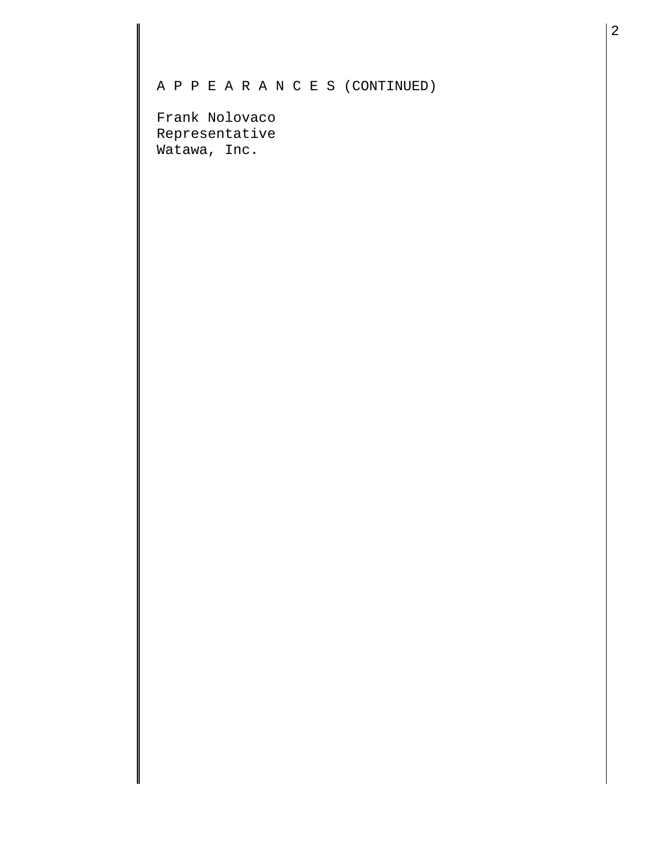## A P P E A R A N C E S (CONTINUED)

Frank Nolovaco Representative Watawa, Inc.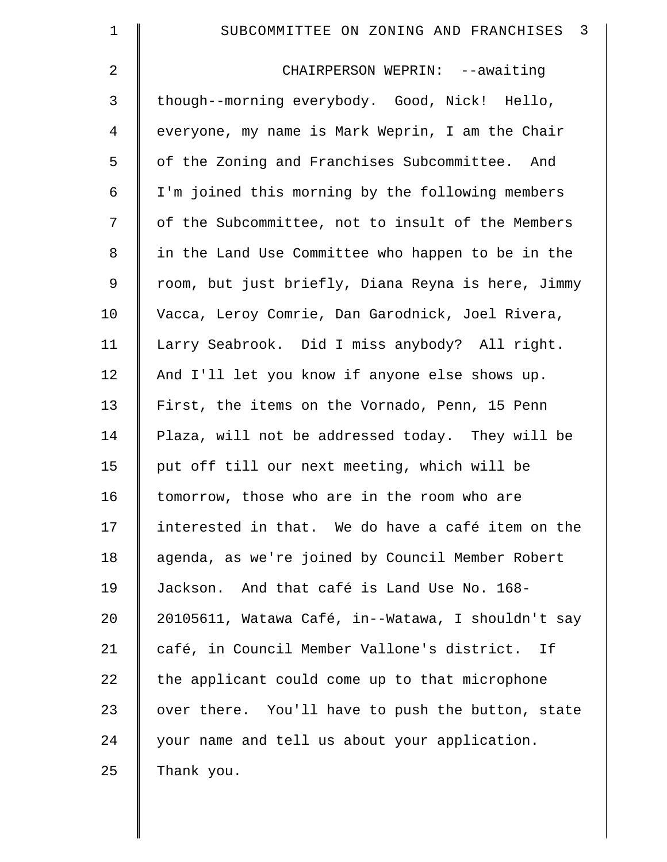| $\mathbf 1$ | $\overline{\mathbf{3}}$<br>SUBCOMMITTEE ON ZONING AND FRANCHISES |
|-------------|------------------------------------------------------------------|
| 2           | CHAIRPERSON WEPRIN: --awaiting                                   |
| 3           | though--morning everybody. Good, Nick! Hello,                    |
| 4           | everyone, my name is Mark Weprin, I am the Chair                 |
| 5           | of the Zoning and Franchises Subcommittee. And                   |
| 6           | I'm joined this morning by the following members                 |
| 7           | of the Subcommittee, not to insult of the Members                |
| 8           | in the Land Use Committee who happen to be in the                |
| 9           | room, but just briefly, Diana Reyna is here, Jimmy               |
| 10          | Vacca, Leroy Comrie, Dan Garodnick, Joel Rivera,                 |
| 11          | Larry Seabrook. Did I miss anybody? All right.                   |
| 12          | And I'll let you know if anyone else shows up.                   |
| 13          | First, the items on the Vornado, Penn, 15 Penn                   |
| 14          | Plaza, will not be addressed today. They will be                 |
| 15          | put off till our next meeting, which will be                     |
| 16          | tomorrow, those who are in the room who are                      |
| 17          | interested in that. We do have a café item on the                |
| 18          | agenda, as we're joined by Council Member Robert                 |
| 19          | Jackson. And that café is Land Use No. 168-                      |
| 20          | 20105611, Watawa Café, in--Watawa, I shouldn't say               |
| 21          | café, in Council Member Vallone's district.<br>Ιf                |
| 22          | the applicant could come up to that microphone                   |
| 23          | over there. You'll have to push the button, state                |
| 24          | your name and tell us about your application.                    |
| 25          | Thank you.                                                       |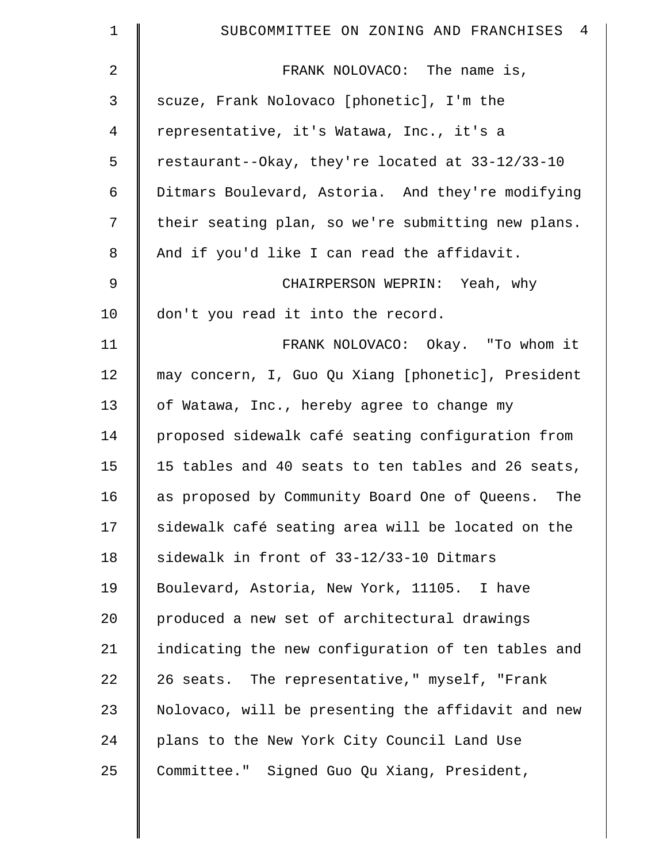| 1              | $4\overline{ }$<br>SUBCOMMITTEE ON ZONING AND FRANCHISES |
|----------------|----------------------------------------------------------|
| 2              | FRANK NOLOVACO: The name is,                             |
| 3              | scuze, Frank Nolovaco [phonetic], I'm the                |
| $\overline{4}$ | representative, it's Watawa, Inc., it's a                |
| 5              | restaurant--Okay, they're located at 33-12/33-10         |
| 6              | Ditmars Boulevard, Astoria. And they're modifying        |
| 7              | their seating plan, so we're submitting new plans.       |
| 8              | And if you'd like I can read the affidavit.              |
| 9              | CHAIRPERSON WEPRIN: Yeah, why                            |
| 10             | don't you read it into the record.                       |
| 11             | FRANK NOLOVACO: Okay. "To whom it                        |
| 12             | may concern, I, Guo Qu Xiang [phonetic], President       |
| 13             | of Watawa, Inc., hereby agree to change my               |
| 14             | proposed sidewalk café seating configuration from        |
| 15             | 15 tables and 40 seats to ten tables and 26 seats,       |
| 16             | as proposed by Community Board One of Queens.<br>The     |
| 17             | sidewalk café seating area will be located on the        |
| 18             | sidewalk in front of 33-12/33-10 Ditmars                 |
| 19             | Boulevard, Astoria, New York, 11105. I have              |
| 20             | produced a new set of architectural drawings             |
| 21             | indicating the new configuration of ten tables and       |
| 22             | 26 seats. The representative," myself, "Frank            |
| 23             | Nolovaco, will be presenting the affidavit and new       |
| 24             | plans to the New York City Council Land Use              |
| 25             | Committee." Signed Guo Qu Xiang, President,              |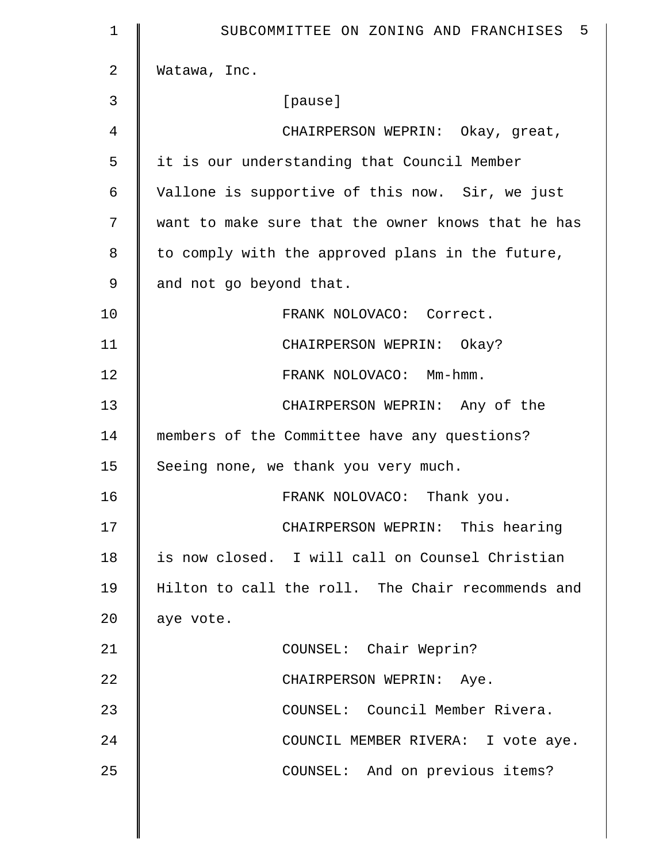| $\mathbf 1$    | SUBCOMMITTEE ON ZONING AND FRANCHISES 5            |
|----------------|----------------------------------------------------|
| $\overline{a}$ | Watawa, Inc.                                       |
| 3              | [pause]                                            |
| 4              | CHAIRPERSON WEPRIN: Okay, great,                   |
| 5              | it is our understanding that Council Member        |
| 6              | Vallone is supportive of this now. Sir, we just    |
| 7              | want to make sure that the owner knows that he has |
| 8              | to comply with the approved plans in the future,   |
| 9              | and not go beyond that.                            |
| 10             | FRANK NOLOVACO: Correct.                           |
| 11             | CHAIRPERSON WEPRIN: Okay?                          |
| 12             | FRANK NOLOVACO: Mm-hmm.                            |
| 13             | CHAIRPERSON WEPRIN: Any of the                     |
| 14             | members of the Committee have any questions?       |
| 15             | Seeing none, we thank you very much.               |
| 16             | FRANK NOLOVACO: Thank you.                         |
| 17             | CHAIRPERSON WEPRIN: This hearing                   |
| 18             | is now closed. I will call on Counsel Christian    |
| 19             | Hilton to call the roll. The Chair recommends and  |
| 20             | aye vote.                                          |
| 21             | COUNSEL: Chair Weprin?                             |
| 22             | CHAIRPERSON WEPRIN: Aye.                           |
| 23             | COUNSEL: Council Member Rivera.                    |
| 24             | COUNCIL MEMBER RIVERA: I vote aye.                 |
| 25             | COUNSEL: And on previous items?                    |
|                |                                                    |

║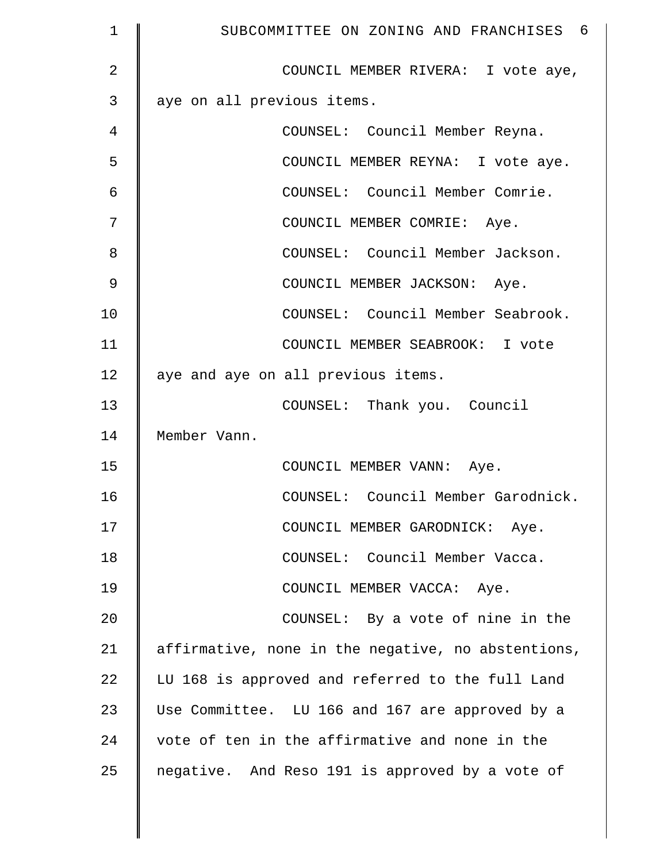| $\mathbf 1$    | SUBCOMMITTEE ON ZONING AND FRANCHISES 6            |
|----------------|----------------------------------------------------|
| $\overline{2}$ | COUNCIL MEMBER RIVERA: I vote aye,                 |
| 3              | aye on all previous items.                         |
| 4              | COUNSEL: Council Member Reyna.                     |
| 5              | COUNCIL MEMBER REYNA: I vote aye.                  |
| 6              | COUNSEL: Council Member Comrie.                    |
| 7              | COUNCIL MEMBER COMRIE: Aye.                        |
| 8              | COUNSEL: Council Member Jackson.                   |
| $\mathcal{G}$  | COUNCIL MEMBER JACKSON: Aye.                       |
| 10             | COUNSEL: Council Member Seabrook.                  |
| 11             | COUNCIL MEMBER SEABROOK: I vote                    |
| 12             | aye and aye on all previous items.                 |
| 13             | COUNSEL: Thank you. Council                        |
| 14             | Member Vann.                                       |
| 15             | COUNCIL MEMBER VANN: Aye.                          |
| 16             | COUNSEL: Council Member Garodnick.                 |
| 17             | COUNCIL MEMBER GARODNICK: Aye.                     |
| 18             | COUNSEL: Council Member Vacca.                     |
| 19             | COUNCIL MEMBER VACCA: Aye.                         |
| 20             | COUNSEL: By a vote of nine in the                  |
| 21             | affirmative, none in the negative, no abstentions, |
| 22             | LU 168 is approved and referred to the full Land   |
| 23             | Use Committee. LU 166 and 167 are approved by a    |
| 24             | vote of ten in the affirmative and none in the     |
| 25             | negative. And Reso 191 is approved by a vote of    |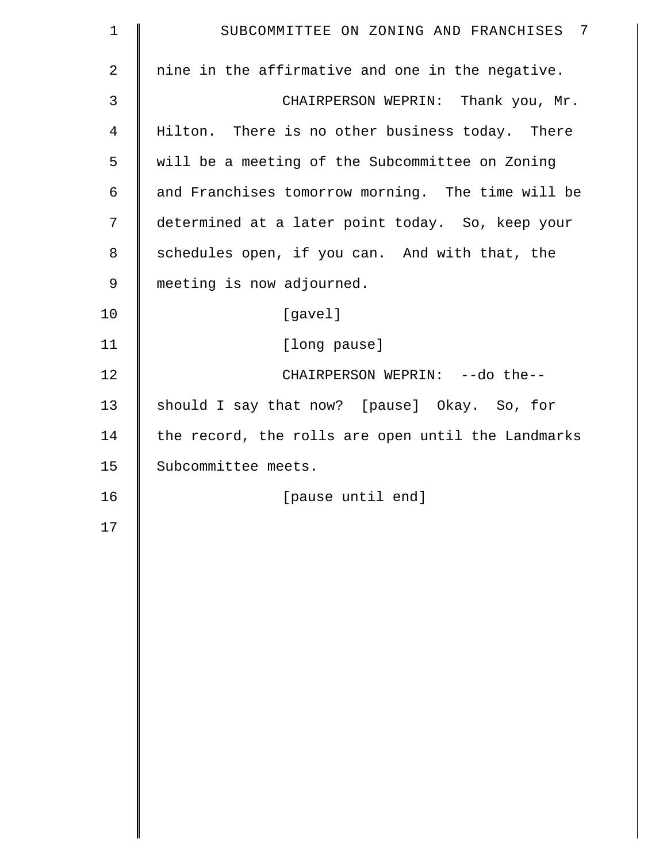| $\mathbf 1$    | - 7<br>SUBCOMMITTEE ON ZONING AND FRANCHISES       |
|----------------|----------------------------------------------------|
| $\overline{2}$ | nine in the affirmative and one in the negative.   |
| 3              | CHAIRPERSON WEPRIN: Thank you, Mr.                 |
| $\overline{4}$ | Hilton. There is no other business today. There    |
| 5              | will be a meeting of the Subcommittee on Zoning    |
| 6              | and Franchises tomorrow morning. The time will be  |
| 7              | determined at a later point today. So, keep your   |
| 8              | schedules open, if you can. And with that, the     |
| 9              | meeting is now adjourned.                          |
| 10             | [gavel]                                            |
| 11             | [long pause]                                       |
| 12             | CHAIRPERSON WEPRIN: --do the--                     |
| 13             | should I say that now? [pause] Okay. So, for       |
| 14             | the record, the rolls are open until the Landmarks |
| 15             | Subcommittee meets.                                |
| 16             | [pause until end]                                  |
| 17             |                                                    |
|                |                                                    |
|                |                                                    |
|                |                                                    |
|                |                                                    |
|                |                                                    |
|                |                                                    |
|                |                                                    |
|                |                                                    |
|                |                                                    |
|                |                                                    |